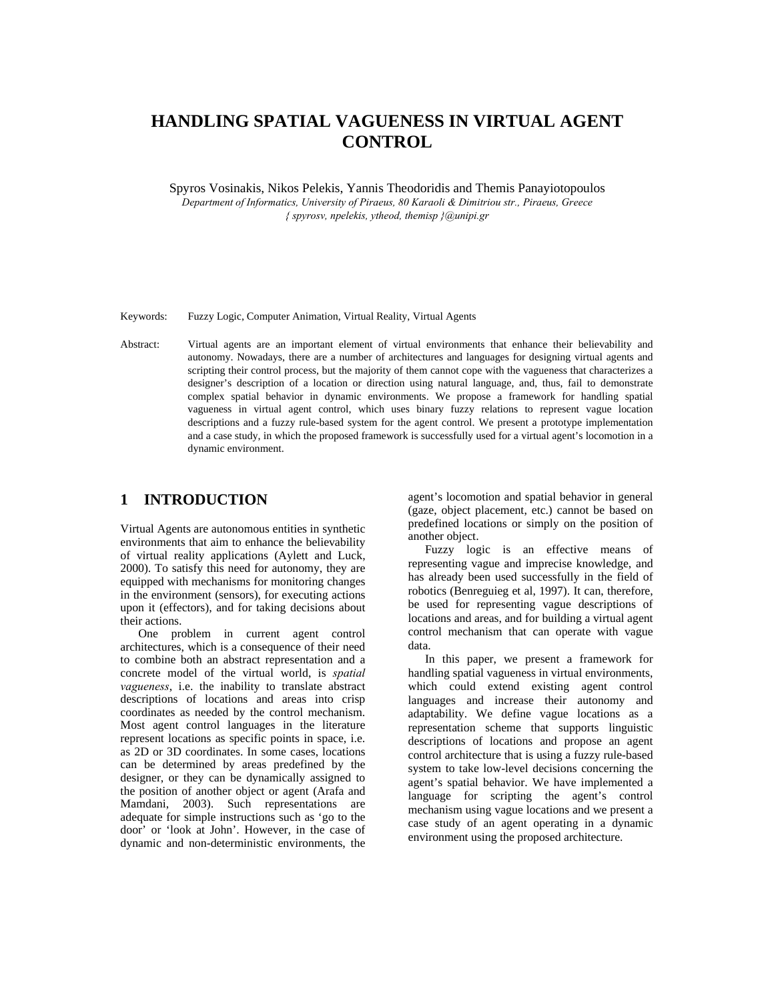# **HANDLING SPATIAL VAGUENESS IN VIRTUAL AGENT CONTROL**

Spyros Vosinakis, Nikos Pelekis, Yannis Theodoridis and Themis Panayiotopoulos *Department of Informatics, University of Piraeus, 80 Karaoli & Dimitriou str., Piraeus, Greece { spyrosv, npelekis, ytheod, themisp }@unipi.gr* 

Keywords: Fuzzy Logic, Computer Animation, Virtual Reality, Virtual Agents

Abstract: Virtual agents are an important element of virtual environments that enhance their believability and autonomy. Nowadays, there are a number of architectures and languages for designing virtual agents and scripting their control process, but the majority of them cannot cope with the vagueness that characterizes a designer's description of a location or direction using natural language, and, thus, fail to demonstrate complex spatial behavior in dynamic environments. We propose a framework for handling spatial vagueness in virtual agent control, which uses binary fuzzy relations to represent vague location descriptions and a fuzzy rule-based system for the agent control. We present a prototype implementation and a case study, in which the proposed framework is successfully used for a virtual agent's locomotion in a dynamic environment.

#### **1 INTRODUCTION**

Virtual Agents are autonomous entities in synthetic environments that aim to enhance the believability of virtual reality applications (Aylett and Luck, 2000). To satisfy this need for autonomy, they are equipped with mechanisms for monitoring changes in the environment (sensors), for executing actions upon it (effectors), and for taking decisions about their actions.

One problem in current agent control architectures, which is a consequence of their need to combine both an abstract representation and a concrete model of the virtual world, is *spatial vagueness*, i.e. the inability to translate abstract descriptions of locations and areas into crisp coordinates as needed by the control mechanism. Most agent control languages in the literature represent locations as specific points in space, i.e. as 2D or 3D coordinates. In some cases, locations can be determined by areas predefined by the designer, or they can be dynamically assigned to the position of another object or agent (Arafa and Mamdani, 2003). Such representations are adequate for simple instructions such as 'go to the door' or 'look at John'. However, in the case of dynamic and non-deterministic environments, the

agent's locomotion and spatial behavior in general (gaze, object placement, etc.) cannot be based on predefined locations or simply on the position of another object.

Fuzzy logic is an effective means of representing vague and imprecise knowledge, and has already been used successfully in the field of robotics (Benreguieg et al, 1997). It can, therefore, be used for representing vague descriptions of locations and areas, and for building a virtual agent control mechanism that can operate with vague data.

In this paper, we present a framework for handling spatial vagueness in virtual environments, which could extend existing agent control languages and increase their autonomy and adaptability. We define vague locations as a representation scheme that supports linguistic descriptions of locations and propose an agent control architecture that is using a fuzzy rule-based system to take low-level decisions concerning the agent's spatial behavior. We have implemented a language for scripting the agent's control mechanism using vague locations and we present a case study of an agent operating in a dynamic environment using the proposed architecture.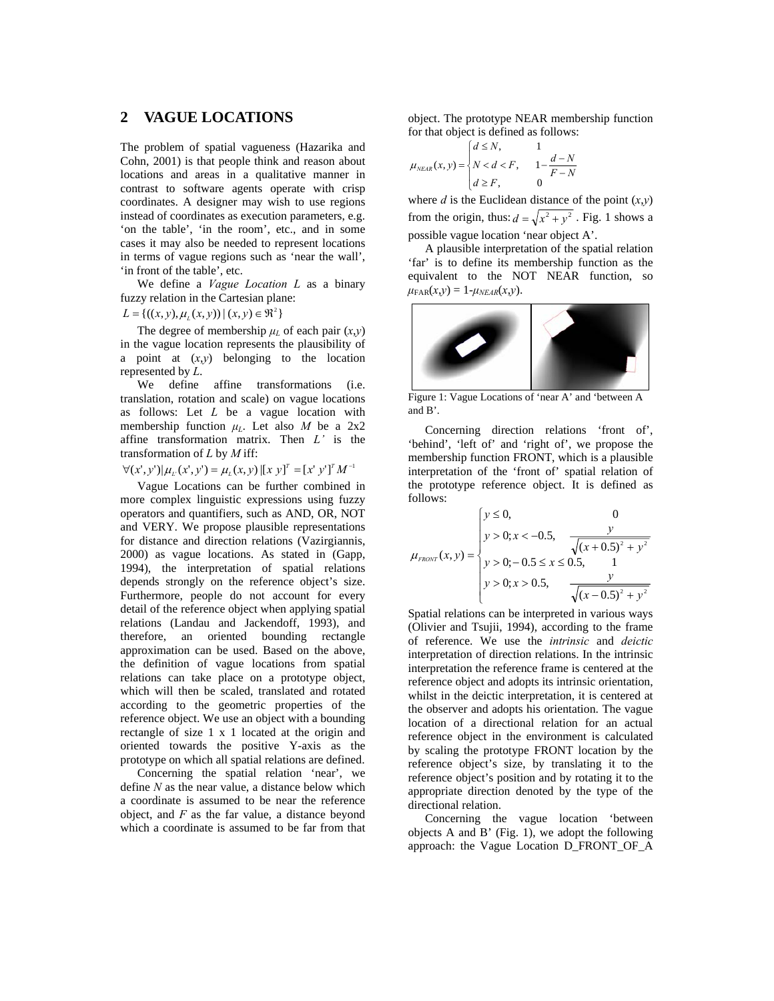## **2 VAGUE LOCATIONS**

The problem of spatial vagueness (Hazarika and Cohn, 2001) is that people think and reason about locations and areas in a qualitative manner in contrast to software agents operate with crisp coordinates. A designer may wish to use regions instead of coordinates as execution parameters, e.g. 'on the table', 'in the room', etc., and in some cases it may also be needed to represent locations in terms of vague regions such as 'near the wall', 'in front of the table', etc.

We define a *Vague Location L* as a binary fuzzy relation in the Cartesian plane:

 $L = \{((x, y), \mu_L(x, y)) | (x, y) \in \Re^2\}$ 

The degree of membership  $\mu_L$  of each pair  $(x,y)$ in the vague location represents the plausibility of a point at (*x*,*y*) belonging to the location represented by *L*.

We define affine transformations (i.e. translation, rotation and scale) on vague locations as follows: Let *L* be a vague location with membership function  $\mu$ <sup>L</sup>. Let also *M* be a 2x2 affine transformation matrix. Then *L'* is the transformation of *L* by *M* iff:<br>  $\forall (x', y') | \mu_L(x', y') = \mu_L(x, y) |[x \ y]^T = [x' \ y']^T M^{-1}$ 

Vague Locations can be further combined in more complex linguistic expressions using fuzzy operators and quantifiers, such as AND, OR, NOT and VERY. We propose plausible representations for distance and direction relations (Vazirgiannis, 2000) as vague locations. As stated in (Gapp, 1994), the interpretation of spatial relations depends strongly on the reference object's size. Furthermore, people do not account for every detail of the reference object when applying spatial relations (Landau and Jackendoff, 1993), and therefore, an oriented bounding rectangle approximation can be used. Based on the above, the definition of vague locations from spatial relations can take place on a prototype object, which will then be scaled, translated and rotated according to the geometric properties of the reference object. We use an object with a bounding rectangle of size 1 x 1 located at the origin and oriented towards the positive Y-axis as the prototype on which all spatial relations are defined.

Concerning the spatial relation 'near', we define *N* as the near value, a distance below which a coordinate is assumed to be near the reference object, and *F* as the far value, a distance beyond which a coordinate is assumed to be far from that

object. The prototype NEAR membership function for that object is defined as follows:

$$
\mu_{NEAR}(x, y) = \begin{cases} d \leq N, & 1\\ N < d < F, \\ d \geq F, & 0 \end{cases} \quad \frac{d - N}{F - N}
$$

where  $d$  is the Euclidean distance of the point  $(x,y)$ from the origin, thus:  $d = \sqrt{x^2 + y^2}$ . Fig. 1 shows a possible vague location 'near object A'.

A plausible interpretation of the spatial relation 'far' is to define its membership function as the equivalent to the NOT NEAR function, so  $\mu_{\text{FAR}}(x,y) = 1 - \mu_{NEAR}(x,y).$ 



Figure 1: Vague Locations of 'near A' and 'between A and B'.

Concerning direction relations 'front of', 'behind', 'left of' and 'right of', we propose the membership function FRONT, which is a plausible interpretation of the 'front of' spatial relation of the prototype reference object. It is defined as follows:

$$
\mu_{\text{FRONT}}(x, y) = \begin{cases} y \le 0, & 0\\ y > 0; x < -0.5, & \frac{y}{\sqrt{(x + 0.5)^2 + y^2}}\\ y > 0; -0.5 \le x \le 0.5, & 1\\ y > 0; x > 0.5, & \frac{y}{\sqrt{(x - 0.5)^2 + y^2}} \end{cases}
$$

Spatial relations can be interpreted in various ways (Olivier and Tsujii, 1994), according to the frame of reference. We use the *intrinsic* and *deictic* interpretation of direction relations. In the intrinsic interpretation the reference frame is centered at the reference object and adopts its intrinsic orientation, whilst in the deictic interpretation, it is centered at the observer and adopts his orientation. The vague location of a directional relation for an actual reference object in the environment is calculated by scaling the prototype FRONT location by the reference object's size, by translating it to the reference object's position and by rotating it to the appropriate direction denoted by the type of the directional relation.

Concerning the vague location 'between objects A and B' (Fig. 1), we adopt the following approach: the Vague Location D\_FRONT\_OF\_A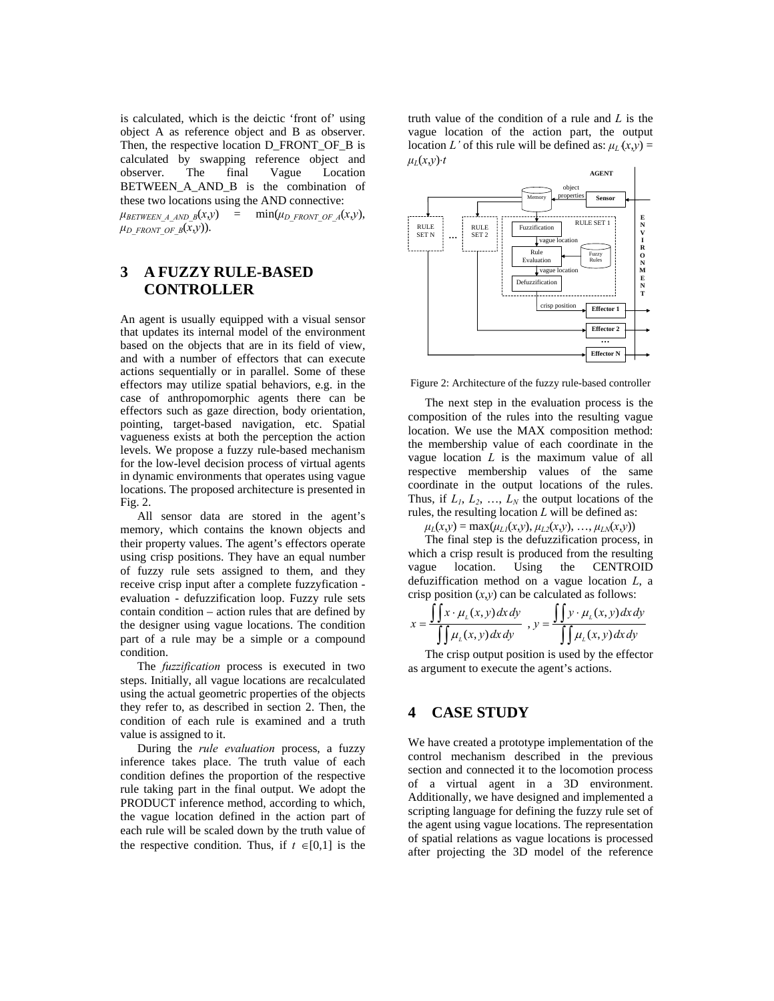is calculated, which is the deictic 'front of' using object A as reference object and B as observer. Then, the respective location D\_FRONT\_OF\_B is calculated by swapping reference object and observer. The final Vague Location BETWEEN A AND B is the combination of these two locations using the AND connective:

 $\mu_{BETWEEN\ A\ AND\ B}(x,y)$  =  $\min(\mu_{D\ FRONT\ OF\ A}(x,y)),$  $\mu_D$  *FRONT OF B*(*x*,*y*)).

# **3 A FUZZY RULE-BASED CONTROLLER**

An agent is usually equipped with a visual sensor that updates its internal model of the environment based on the objects that are in its field of view, and with a number of effectors that can execute actions sequentially or in parallel. Some of these effectors may utilize spatial behaviors, e.g. in the case of anthropomorphic agents there can be effectors such as gaze direction, body orientation, pointing, target-based navigation, etc. Spatial vagueness exists at both the perception the action levels. We propose a fuzzy rule-based mechanism for the low-level decision process of virtual agents in dynamic environments that operates using vague locations. The proposed architecture is presented in Fig. 2.

All sensor data are stored in the agent's memory, which contains the known objects and their property values. The agent's effectors operate using crisp positions. They have an equal number of fuzzy rule sets assigned to them, and they receive crisp input after a complete fuzzyfication evaluation - defuzzification loop. Fuzzy rule sets contain condition – action rules that are defined by the designer using vague locations. The condition part of a rule may be a simple or a compound condition.

The *fuzzification* process is executed in two steps. Initially, all vague locations are recalculated using the actual geometric properties of the objects they refer to, as described in section 2. Then, the condition of each rule is examined and a truth value is assigned to it.

During the *rule evaluation* process, a fuzzy inference takes place. The truth value of each condition defines the proportion of the respective rule taking part in the final output. We adopt the PRODUCT inference method, according to which, the vague location defined in the action part of each rule will be scaled down by the truth value of the respective condition. Thus, if  $t \in [0,1]$  is the

truth value of the condition of a rule and *L* is the vague location of the action part, the output location *L*' of this rule will be defined as:  $\mu$ <sub>*L'*</sub>(*x*,*y*) =  $μ<sub>L</sub>(x,y)$ ・*t* 



Figure 2: Architecture of the fuzzy rule-based controller

The next step in the evaluation process is the composition of the rules into the resulting vague location. We use the MAX composition method: the membership value of each coordinate in the vague location *L* is the maximum value of all respective membership values of the same coordinate in the output locations of the rules. Thus, if  $L_1$ ,  $L_2$ , ...,  $L_N$  the output locations of the rules, the resulting location *L* will be defined as:

 $\mu$ <sup>L</sup>(*x*,*y*) = max( $\mu$ <sup>L</sup>/(*x*,*y*),  $\mu$ <sub>L2</sub>(*x*,*y*), …,  $\mu$ <sub>LN</sub>(*x*,*y*))

The final step is the defuzzification process, in which a crisp result is produced from the resulting vague location. Using the CENTROID defuziffication method on a vague location *L*, a crisp position  $(x,y)$  can be calculated as follows:

$$
x = \frac{\iint x \cdot \mu_L(x, y) dx dy}{\iint \mu_L(x, y) dx dy}, y = \frac{\iint y \cdot \mu_L(x, y) dx dy}{\iint \mu_L(x, y) dx dy}
$$

The crisp output position is used by the effector as argument to execute the agent's actions.

## **4 CASE STUDY**

We have created a prototype implementation of the control mechanism described in the previous section and connected it to the locomotion process of a virtual agent in a 3D environment. Additionally, we have designed and implemented a scripting language for defining the fuzzy rule set of the agent using vague locations. The representation of spatial relations as vague locations is processed after projecting the 3D model of the reference